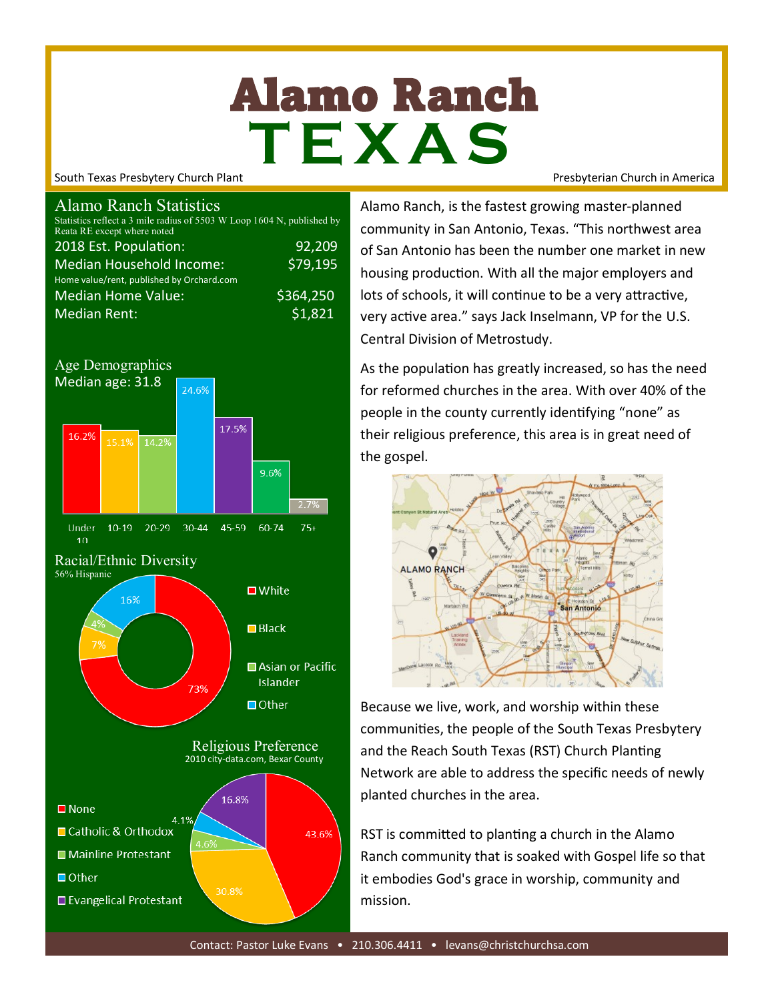# Alamo Ranch **T E X A S**

South Texas Presbytery Church Plant Presbyterian Church in America

#### Alamo Ranch Statistics

| Statistics reflect a 3 mile radius of 5503 W Loop 1604 N, published by<br>Reata RE except where noted |          |
|-------------------------------------------------------------------------------------------------------|----------|
| 2018 Est. Population:                                                                                 | 92,209   |
| <b>Median Household Income:</b>                                                                       | \$79,195 |
| Home value/rent, published by Orchard.com                                                             |          |
| <b>Median Home Value:</b>                                                                             | 5364,250 |
| <b>Median Rent:</b>                                                                                   | 51,821   |



Alamo Ranch, is the fastest growing master-planned community in San Antonio, Texas. "This northwest area of San Antonio has been the number one market in new housing production. With all the major employers and lots of schools, it will continue to be a very attractive, very active area." says Jack Inselmann, VP for the U.S. Central Division of Metrostudy.

As the population has greatly increased, so has the need for reformed churches in the area. With over 40% of the people in the county currently identifying "none" as their religious preference, this area is in great need of the gospel.



Because we live, work, and worship within these communities, the people of the South Texas Presbytery and the Reach South Texas (RST) Church Planting Network are able to address the specific needs of newly planted churches in the area.

RST is committed to planting a church in the Alamo Ranch community that is soaked with Gospel life so that it embodies God's grace in worship, community and mission.